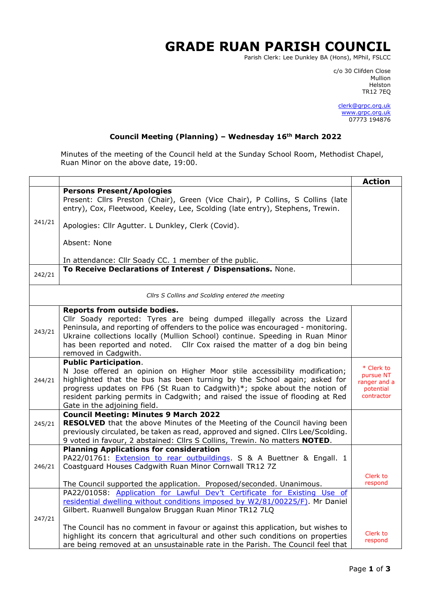## **GRADE RUAN PARISH COUNCIL**

Parish Clerk: Lee Dunkley BA (Hons), MPhil, FSLCC

c/o 30 Clifden Close man and the control of the control of the control of the control of the control of the control of the control o Helston TR12 7EQ

> [clerk@grpc.org.uk](mailto:clerk@grpc.org.uk) [www.grpc.org.uk](http://www.grpc.org.uk/) 07773 194876

## **Council Meeting (Planning) – Wednesday 16th March 2022**

Minutes of the meeting of the Council held at the Sunday School Room, Methodist Chapel, Ruan Minor on the above date, 19:00.

|                                                  |                                                                                                                                                                   | <b>Action</b>           |
|--------------------------------------------------|-------------------------------------------------------------------------------------------------------------------------------------------------------------------|-------------------------|
|                                                  | <b>Persons Present/Apologies</b>                                                                                                                                  |                         |
|                                                  | Present: Cllrs Preston (Chair), Green (Vice Chair), P Collins, S Collins (late<br>entry), Cox, Fleetwood, Keeley, Lee, Scolding (late entry), Stephens, Trewin.   |                         |
| 241/21                                           | Apologies: Cllr Agutter. L Dunkley, Clerk (Covid).                                                                                                                |                         |
|                                                  | Absent: None                                                                                                                                                      |                         |
|                                                  | In attendance: Cllr Soady CC. 1 member of the public.                                                                                                             |                         |
| 242/21                                           | To Receive Declarations of Interest / Dispensations. None.                                                                                                        |                         |
| Cllrs S Collins and Scolding entered the meeting |                                                                                                                                                                   |                         |
|                                                  | Reports from outside bodies.                                                                                                                                      |                         |
|                                                  | Cllr Soady reported: Tyres are being dumped illegally across the Lizard                                                                                           |                         |
| 243/21                                           | Peninsula, and reporting of offenders to the police was encouraged - monitoring.<br>Ukraine collections locally (Mullion School) continue. Speeding in Ruan Minor |                         |
|                                                  | has been reported and noted.  Cllr Cox raised the matter of a dog bin being                                                                                       |                         |
|                                                  | removed in Cadgwith.                                                                                                                                              |                         |
|                                                  | <b>Public Participation.</b>                                                                                                                                      |                         |
|                                                  | N Jose offered an opinion on Higher Moor stile accessibility modification;                                                                                        | * Clerk to<br>pursue NT |
| 244/21                                           | highlighted that the bus has been turning by the School again; asked for                                                                                          | ranger and a            |
|                                                  | progress updates on FP6 (St Ruan to Cadgwith)*; spoke about the notion of<br>resident parking permits in Cadgwith; and raised the issue of flooding at Red        | potential<br>contractor |
|                                                  | Gate in the adjoining field.                                                                                                                                      |                         |
|                                                  | <b>Council Meeting: Minutes 9 March 2022</b>                                                                                                                      |                         |
| 245/21                                           | <b>RESOLVED</b> that the above Minutes of the Meeting of the Council having been                                                                                  |                         |
|                                                  | previously circulated, be taken as read, approved and signed. Cllrs Lee/Scolding.                                                                                 |                         |
|                                                  | 9 voted in favour, 2 abstained: Cllrs S Collins, Trewin. No matters NOTED.                                                                                        |                         |
|                                                  | <b>Planning Applications for consideration</b>                                                                                                                    |                         |
| 246/21                                           | PA22/01761: <b>Extension to rear outbuildings.</b> S & A Buettner & Engall. 1<br>Coastguard Houses Cadgwith Ruan Minor Cornwall TR12 7Z                           |                         |
|                                                  |                                                                                                                                                                   | Clerk to                |
|                                                  | The Council supported the application. Proposed/seconded. Unanimous.                                                                                              | respond                 |
|                                                  | PA22/01058: Application for Lawful Dev't Certificate for Existing Use of                                                                                          |                         |
|                                                  | residential dwelling without conditions imposed by W2/81/00225/F). Mr Daniel                                                                                      |                         |
|                                                  | Gilbert. Ruanwell Bungalow Bruggan Ruan Minor TR12 7LQ                                                                                                            |                         |
| 247/21                                           | The Council has no comment in favour or against this application, but wishes to                                                                                   |                         |
|                                                  | highlight its concern that agricultural and other such conditions on properties                                                                                   | Clerk to                |
|                                                  | are being removed at an unsustainable rate in the Parish. The Council feel that                                                                                   | respond                 |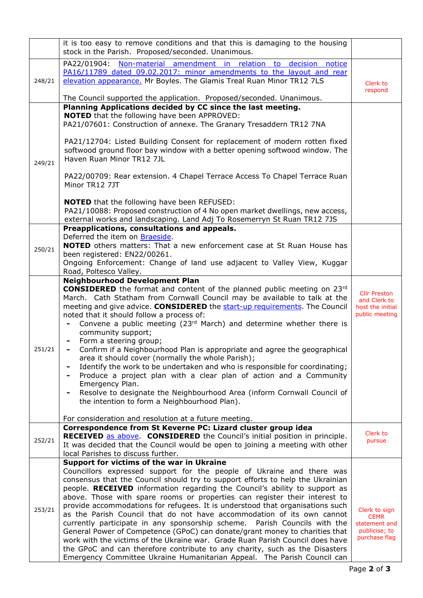|        | it is too easy to remove conditions and that this is damaging to the housing<br>stock in the Parish. Proposed/seconded. Unanimous.                                                                                                                                                                                                                                                                                                                                                     |                                                                                 |
|--------|----------------------------------------------------------------------------------------------------------------------------------------------------------------------------------------------------------------------------------------------------------------------------------------------------------------------------------------------------------------------------------------------------------------------------------------------------------------------------------------|---------------------------------------------------------------------------------|
| 248/21 | PA22/01904:<br>Non-material amendment in relation to<br>decision notice<br>PA16/11789 dated 09.02.2017: minor amendments to the layout and rear<br>elevation appearance. Mr Boyles. The Glamis Treal Ruan Minor TR12 7LS                                                                                                                                                                                                                                                               | Clerk to<br>respond                                                             |
|        | The Council supported the application. Proposed/seconded. Unanimous.<br>Planning Applications decided by CC since the last meeting.                                                                                                                                                                                                                                                                                                                                                    |                                                                                 |
| 249/21 | <b>NOTED</b> that the following have been APPROVED:<br>PA21/07601: Construction of annexe. The Granary Tresaddern TR12 7NA                                                                                                                                                                                                                                                                                                                                                             |                                                                                 |
|        | PA21/12704: Listed Building Consent for replacement of modern rotten fixed<br>softwood ground floor bay window with a better opening softwood window. The<br>Haven Ruan Minor TR12 7JL                                                                                                                                                                                                                                                                                                 |                                                                                 |
|        | PA22/00709: Rear extension. 4 Chapel Terrace Access To Chapel Terrace Ruan<br>Minor TR12 7JT                                                                                                                                                                                                                                                                                                                                                                                           |                                                                                 |
|        | <b>NOTED</b> that the following have been REFUSED:<br>PA21/10088: Proposed construction of 4 No open market dwellings, new access,<br>external works and landscaping. Land Adj To Rosemerryn St Ruan TR12 7JS                                                                                                                                                                                                                                                                          |                                                                                 |
| 250/21 | Preapplications, consultations and appeals.<br>Deferred the item on <b>Braeside</b> .<br><b>NOTED</b> others matters: That a new enforcement case at St Ruan House has                                                                                                                                                                                                                                                                                                                 |                                                                                 |
|        | been registered: EN22/00261.<br>Ongoing Enforcement: Change of land use adjacent to Valley View, Kuggar<br>Road, Poltesco Valley.                                                                                                                                                                                                                                                                                                                                                      |                                                                                 |
| 251/21 | <b>Neighbourhood Development Plan</b><br><b>CONSIDERED</b> the format and content of the planned public meeting on 23rd<br>March. Cath Statham from Cornwall Council may be available to talk at the<br>meeting and give advice. CONSIDERED the start-up requirements. The Council<br>noted that it should follow a process of:<br>Convene a public meeting ( $23rd$ March) and determine whether there is<br>community support;                                                       | <b>Cllr Preston</b><br>and Clerk to<br>host the initial<br>public meeting       |
|        | Form a steering group;<br>$\qquad \qquad \blacksquare$<br>Confirm if a Neighbourhood Plan is appropriate and agree the geographical<br>-<br>area it should cover (normally the whole Parish);<br>Identify the work to be undertaken and who is responsible for coordinating;<br>$\overline{\phantom{0}}$<br>Produce a project plan with a clear plan of action and a Community<br>-<br>Emergency Plan.<br>Resolve to designate the Neighbourhood Area (inform Cornwall Council of<br>- |                                                                                 |
|        | the intention to form a Neighbourhood Plan).<br>For consideration and resolution at a future meeting.                                                                                                                                                                                                                                                                                                                                                                                  |                                                                                 |
|        | Correspondence from St Keverne PC: Lizard cluster group idea                                                                                                                                                                                                                                                                                                                                                                                                                           |                                                                                 |
| 252/21 | RECEIVED as above. CONSIDERED the Council's initial position in principle.<br>It was decided that the Council would be open to joining a meeting with other<br>local Parishes to discuss further.                                                                                                                                                                                                                                                                                      | Clerk to<br>pursue                                                              |
| 253/21 | Support for victims of the war in Ukraine<br>Councillors expressed support for the people of Ukraine and there was<br>consensus that the Council should try to support efforts to help the Ukrainian<br>people. RECEIVED information regarding the Council's ability to support as<br>above. Those with spare rooms or properties can register their interest to                                                                                                                       |                                                                                 |
|        | provide accommodations for refugees. It is understood that organisations such<br>as the Parish Council that do not have accommodation of its own cannot<br>currently participate in any sponsorship scheme. Parish Councils with the<br>General Power of Competence (GPoC) can donate/grant money to charities that<br>work with the victims of the Ukraine war. Grade Ruan Parish Council does have                                                                                   | Clerk to sign<br><b>CEMR</b><br>statement and<br>publicise; to<br>purchase flag |
|        | the GPoC and can therefore contribute to any charity, such as the Disasters<br>Emergency Committee Ukraine Humanitarian Appeal. The Parish Council can                                                                                                                                                                                                                                                                                                                                 |                                                                                 |